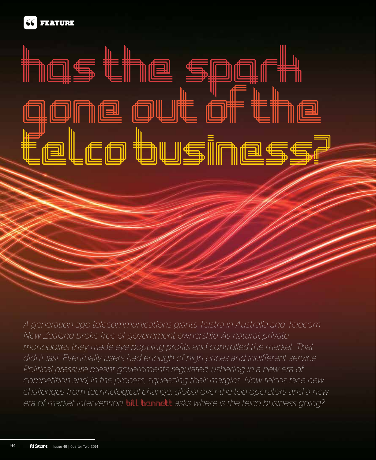

in<del>ys ene spylen<br>gone out of the</del><br>ene allessen

uur<br>telco business?<br>

has the spark

FEATURE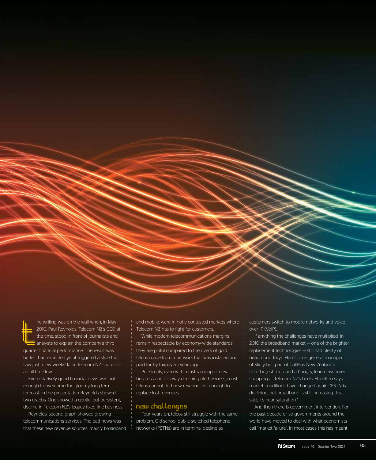t he writing was on the wall when, in May 2010, Paul Reynolds, Telecom NZ's CEO at the time, stood in front of journalists and analysts to explain the company's third quarter financial performance. The result was better than expected yet it triggered a slide that saw just a few weeks' later Telecom NZ shares hit an all-time low.

Even relatively good financial news was not enough to overcome the gloomy long-term forecast. In the presentation Reynolds showed two graphs. One showed a gentle, but persistent, decline in Telecom NZ's legacy fixed line business.

Reynolds' second graph showed growing telecommunications services. The bad news was that these new revenue sources, mainly broadband and mobile, were in hotly contested markets where Telecom NZ has to fight for customers.

While modern telecommunications margins remain respectable by economy-wide standards, they are pitiful compared to the rivers of gold telcos made from a network that was installed and paid for by taxpayers years ago.

Put simply, even with a fast rampup of new business and a slowly declining old business, most telcos cannot find new revenue fast enough to replace lost revenues.

# new challenges

Four years on, telcos still struggle with the same problem. Old-school public switched telephone networks (PSTNs) are in terminal decline as

customers switch to mobile networks and voice over IP (VoIP).

If anything the challenges have multiplied. In 2010 the broadband market — one of the brighter replacement technologies — still had plenty of headroom. Taryn Hamilton is general manager of Slingshot, part of CallPlus New Zealand's third largest telco and a hungry, lean newcomer snapping at Telecom NZ's heels. Hamilton says market conditions have changed again: "PSTN is declining, but broadband is still increasing. That said; it's near saturation."

And then there is government intervention. For the past decade or so governments around the world have moved to deal with what economists call "market failure". In most cases this has meant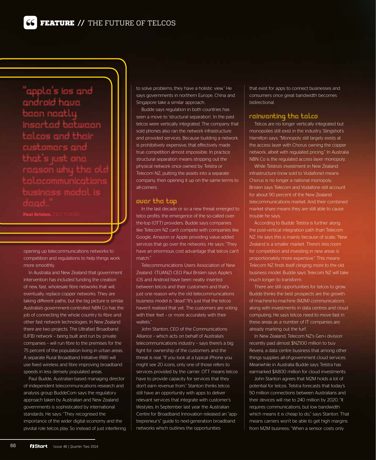''apple's ios and android have been neatly inserted between telcos and their customers an that's just one reason why the old telecommunications business model is tead

Paul Brislen, CEO, THANZ

opening up telecommunications networks to competition and regulations to help things work more smoothly.

In Australia and New Zealand that government intervention has included funding the creation of new, fast, wholesale fibre networks that will, eventually, replace copper networks. They are taking different paths, but the big picture is similar. Australia's government-controlled NBN Co has the job of connecting the whole country to fibre and other fast network technologies. In New Zealand there are two projects. The Ultrafast Broadband (UFB) network – being built and run by private companies – will run fibre to the premises for the 75 percent of the population living in urban areas. A separate Rural Broadband Initiative (RBI) will use fixed wireless and fibre improving broadband speeds in less densely populated areas.

Paul Budde, Australian-based managing director of independent telecommunications research and analysis group BuddeCom says the regulatory approach taken by Australian and New Zealand governments is sophisticated by international standards. He says: "They recognised the importance of the wider digital economy and the pivotal role telcos play. So instead of just interfering to solve problems, they have a holistic view." He says governments in northern Europe, China and Singapore take a similar approach.

Budde says regulation in both countries has seen a move to 'structural separation'. In the past telcos were vertically integrated. The company that sold phones also ran the network infrastructure and provided services. Because building a network is prohibitively expensive, that effectively made true competition almost impossible. In practice structural separation means stripping out the physical network once owned by Telstra or Telecom NZ, putting the assets into a separate company, then opening it up on the same terms to all-comers.

#### over the top

In the last decade or so a new threat emerged to telco profits: the emergence of the so-called overthe-top (OTT) providers. Budde says companies like Telecom NZ can't compete with companies like Google, Amazon or Apple providing value-added services that go over the networks. He says: "They have an enormous cost advantage that telcos can't match<sup>'</sup>

Telecommunications Users Association of New Zealand (TUANZ) CEO Paul Brislen says Apple's iOS and Android have been neatly inserted between telcos and their customers and that's just one reason why the old telecommunications business model is "dead";"It's just that the telcos haven't realised that yet. The customers are voting with their feet – or more accurately with their wallets."

John Stanton, CEO of the Communications Alliance – which acts on behalf of Australia's telecommunications industry – says there's a big fight for ownership of the customers and the threat is real. "If you look at a typical iPhone you might see 20 icons, only one of those refers to services provided by the carrier. OTT means telcos have to provide capacity for services that they don't earn revenue from." Stanton thinks telcos still have an opportunity with apps to deliver relevant services that integrate with customer's lifestyles. In September last year the Australian Centre for Broadband Innovation released an "apptrepreneur's" guide to next-generation broadband networks which outlines the opportunities

that exist for apps to connect businesses and consumers once great bandwidth becomes bidirectional.

# reinventing the telco

Telcos are no longer vertically integrated but monopolies still exist in the industry. Slingshot's Hamilton says: "Monopoly still largely exists at the access layer with Chorus owning the copper network, albeit with regulated pricing." In Australia NBN Co is the regulated access layer monopoly.

While Telstra's investment in New Zealand infrastructure (now sold to Vodafone) means Chorus is no longer a national monopoly, Brislen says Telecom and Vodafone still account for about 90 percent of the New Zealand telecommunications market. And their combined market share means they are still able to cause trouble he says.

According to Budde Telstra is further along the post-vertical integration path than Telecom NZ. He says this is mainly because of scale; "New Zealand is a smaller market. There's less room for competition and investing in new areas is proportionately more expensive." This means Telecom NZ finds itself clinging more to the old business model. Budde says Telecom NZ will take much longer to transform.

There are still opportunities for telcos to grow. Budde thinks the best prospects are the growth of machine-to-machine (M2M) communications along with investments in data centres and cloud computing. He says telcos need to move fast in these areas as a number of IT companies are already marking out the turf.

In New Zealand, Telecom NZ's Gen-i division recently paid almost \$NZ100 million to buy Revera, a data centre business that among other things supplies all-of-government cloud services. Meanwhile in Australia Budde says Telstra has earmarked \$A800 million for cloud investments.

John Stanton agrees that M2M holds a lot of potential for telcos. Telstra forecasts that today's 50 million connections between Australians and their devices will rise to 240 million by 2020. "It requires communications, but low bandwidth which means it is cheap to do," says Stanton. That means carriers won't be able to get high margins from M2M business: "When a sensor costs only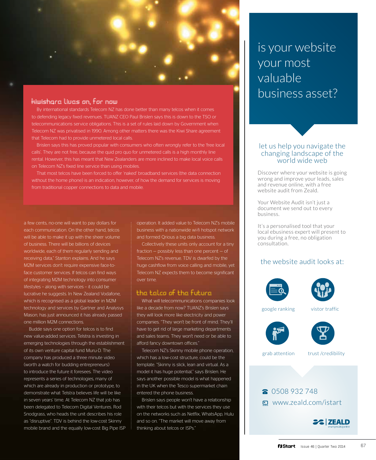

### kiwishare lives on, for now

By international standards Telecom NZ has done better than many telcos when it comes to defending legacy fixed revenues. TUANZ CEO Paul Brislen says this is down to the TSO or telecommunications service obligations. This is a set of rules laid down by Government when Telecom NZ was privatised in 1990. Among other matters there was the Kiwi Share agreement that Telecom had to provide unmetered local calls.

Brislen says this has proved popular with consumers who often wrongly refer to the 'free local calls'. They are not free, because the quid pro quo for unmetered calls is a high monthly line rental. However, this has meant that New Zealanders are more inclined to make local voice calls on Telecom NZ's fixed line service than using mobiles.

That most telcos have been forced to offer 'naked' broadband services (the data connection without the home phone) is an indication, however, of how the demand for services is moving from traditional copper connections to data and mobile.

a few cents, no-one will want to pay dollars for each communication. On the other hand, telcos will be able to make it up with the sheer volume of business. There will be billions of devices worldwide, each of them regularly sending and receiving data," Stanton explains. And he says M2M services don't require expensive face-toface customer services. If telcos can find ways of integrating M2M technology into consumer lifestyles – along with services – it could be lucrative he suggests. In New Zealand Vodafone, which is recognised as a global leader in M2M technology and services by Gartner and Analysys Mason, has just announced it has already passed one million M2M connections.

Budde says one option for telcos is to find new value-added services. Telstra is investing in emerging technologies through the establishment of its own venture capital fund Muru-D. The company has produced a three minute video (worth a watch for budding entrepreneurs) to introduce the future it foresees. The video represents a series of technologies, many of which are already in production or prototype, to demonstrate what Telstra believes life will be like in seven years' time. At Telecom NZ that job has been delegated to Telecom Digital Ventures. Rod Snodgrass, who heads the unit describes his role as "disruptive". TDV is behind the low-cost Skinny mobile brand and the equally low-cost Big Pipe ISP operation. It added value to Telecom NZ's mobile business with a nationwide wi-fi hotspot network and formed Qrious a big data business.

Collectively these units only account for a tiny fraction  $-$  possibly less than one percent  $-$  of Telecom NZ's revenue. TDV is dwarfed by the huge cashflow from voice calling and mobile, yet Telecom NZ expects them to become significant over time.

#### the telco of the future

What will telecommunications companies look like a decade from now? TUANZ's Brislen says they will look more like electricity and power companies. "They won't be front of mind. They'll have to get rid of large marketing departments and sales teams. They won't need or be able to afford fancy downtown offices."

Telecom NZ's Skinny mobile phone operation, which has a low-cost structure, could be the template. "Skinny is slick, lean and virtual. As a model it has huge potential," says Brislen. He says another possible model is what happened in the UK when the Tesco supermarket chain entered the phone business.

Brislen says people won't have a relationship with their telcos but with the services they use on the networks such as Netflix, WhatsApp, Hulu and so on. "The market will move away from thinking about telcos or ISPs."

is your website your most valuable business asset?

### let us help you navigate the changing landscape of the world wide web

Discover where your website is going wrong and improve your leads, sales and revenue online, with a free website audit from Zeald.

Your Website Audit isn't just a document we send out to every business.

It's a personalised tool that your local ebusiness expert will present to you during a free, no obligation consultation.

# the website audit looks at:





google ranking vistor traffic





grab attention trust /credibility

# **8** 0508 932 748 www.zeald.com/istart